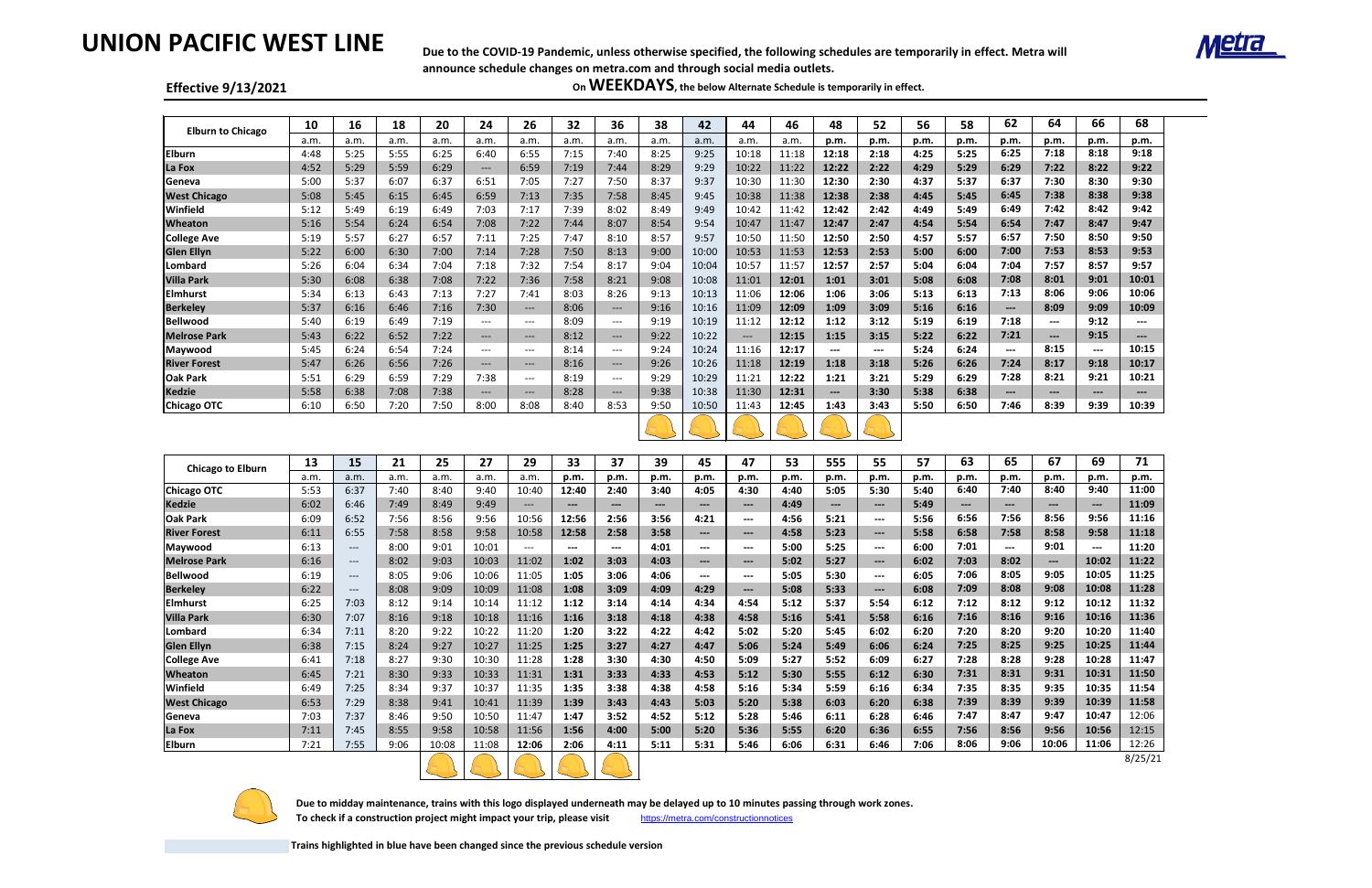# **UNION PACIFIC WEST LINE**

#### **Effective 9/13/2021**

| <b>Elburn to Chicago</b> | 10   | 16   | 18   | 20   | 24            | 26      | 32   | 36                                  | 38   | 42    | 44    | 46    | 48                     | 52                   | 56   | 58   | 62                     | 64                     | 66                     | 68                     |
|--------------------------|------|------|------|------|---------------|---------|------|-------------------------------------|------|-------|-------|-------|------------------------|----------------------|------|------|------------------------|------------------------|------------------------|------------------------|
|                          | a.m. | a.m. | a.m. | a.m. | a.m.          | a.m.    | a.m. | a.m.                                | a.m. | a.m.  | a.m.  | a.m.  | p.m.                   | p.m.                 | p.m. | p.m. | p.m.                   | p.m.                   | p.m.                   | p.m.                   |
| <b>Elburn</b>            | 4:48 | 5:25 | 5:55 | 6:25 | 6:40          | 6:55    | 7:15 | 7:40                                | 8:25 | 9:25  | 10:18 | 11:18 | 12:18                  | 2:18                 | 4:25 | 5:25 | 6:25                   | 7:18                   | 8:18                   | 9:18                   |
| La Fox                   | 4:52 | 5:29 | 5:59 | 6:29 | $---$         | 6:59    | 7:19 | 7:44                                | 8:29 | 9:29  | 10:22 | 11:22 | 12:22                  | 2:22                 | 4:29 | 5:29 | 6:29                   | 7:22                   | 8:22                   | 9:22                   |
| Geneva                   | 5:00 | 5:37 | 6:07 | 6:37 | 6:51          | 7:05    | 7:27 | 7:50                                | 8:37 | 9:37  | 10:30 | 11:30 | 12:30                  | 2:30                 | 4:37 | 5:37 | 6:37                   | 7:30                   | 8:30                   | 9:30                   |
| <b>West Chicago</b>      | 5:08 | 5:45 | 6:15 | 6:45 | 6:59          | 7:13    | 7:35 | 7:58                                | 8:45 | 9:45  | 10:38 | 11:38 | 12:38                  | 2:38                 | 4:45 | 5:45 | 6:45                   | 7:38                   | 8:38                   | 9:38                   |
| Winfield                 | 5:12 | 5:49 | 6:19 | 6:49 | 7:03          | 7:17    | 7:39 | 8:02                                | 8:49 | 9:49  | 10:42 | 11:42 | 12:42                  | 2:42                 | 4:49 | 5:49 | 6:49                   | 7:42                   | 8:42                   | 9:42                   |
| <b>Wheaton</b>           | 5:16 | 5:54 | 6:24 | 6:54 | 7:08          | 7:22    | 7:44 | 8:07                                | 8:54 | 9:54  | 10:47 | 11:47 | 12:47                  | 2:47                 | 4:54 | 5:54 | 6:54                   | 7:47                   | 8:47                   | 9:47                   |
| <b>College Ave</b>       | 5:19 | 5:57 | 6:27 | 6:57 | 7:11          | 7:25    | 7:47 | 8:10                                | 8:57 | 9:57  | 10:50 | 11:50 | 12:50                  | 2:50                 | 4:57 | 5:57 | 6:57                   | 7:50                   | 8:50                   | 9:50                   |
| <b>Glen Ellyn</b>        | 5:22 | 6:00 | 6:30 | 7:00 | 7:14          | 7:28    | 7:50 | 8:13                                | 9:00 | 10:00 | 10:53 | 11:53 | 12:53                  | 2:53                 | 5:00 | 6:00 | 7:00                   | 7:53                   | 8:53                   | 9:53                   |
| Lombard                  | 5:26 | 6:04 | 6:34 | 7:04 | 7:18          | 7:32    | 7:54 | 8:17                                | 9:04 | 10:04 | 10:57 | 11:57 | 12:57                  | 2:57                 | 5:04 | 6:04 | 7:04                   | 7:57                   | 8:57                   | 9:57                   |
| <b>Villa Park</b>        | 5:30 | 6:08 | 6:38 | 7:08 | 7:22          | 7:36    | 7:58 | 8:21                                | 9:08 | 10:08 | 11:01 | 12:01 | 1:01                   | 3:01                 | 5:08 | 6:08 | 7:08                   | 8:01                   | 9:01                   | 10:01                  |
| <b>Elmhurst</b>          | 5:34 | 6:13 | 6:43 | 7:13 | 7:27          | 7:41    | 8:03 | 8:26                                | 9:13 | 10:13 | 11:06 | 12:06 | 1:06                   | 3:06                 | 5:13 | 6:13 | 7:13                   | 8:06                   | 9:06                   | 10:06                  |
| <b>Berkeley</b>          | 5:37 | 6:16 | 6:46 | 7:16 | 7:30          | $---$   | 8:06 | $\hspace{0.05cm}---\hspace{0.05cm}$ | 9:16 | 10:16 | 11:09 | 12:09 | 1:09                   | 3:09                 | 5:16 | 6:16 | $\qquad \qquad \cdots$ | 8:09                   | 9:09                   | 10:09                  |
| <b>Bellwood</b>          | 5:40 | 6:19 | 6:49 | 7:19 | $\frac{1}{2}$ | $- - -$ | 8:09 | $\sim$ $\sim$ $\sim$                | 9:19 | 10:19 | 11:12 | 12:12 | 1:12                   | 3:12                 | 5:19 | 6:19 | 7:18                   | $\qquad \qquad \cdots$ | 9:12                   | $\qquad \qquad \cdots$ |
| <b>Melrose Park</b>      | 5:43 | 6:22 | 6:52 | 7:22 | $---$         | $---$   | 8:12 | $---$                               | 9:22 | 10:22 | $--$  | 12:15 | 1:15                   | 3:15                 | 5:22 | 6:22 | 7:21                   | $\qquad \qquad \cdots$ | 9:15                   | ---                    |
| Maywood                  | 5:45 | 6:24 | 6:54 | 7:24 | $---$         | $---$   | 8:14 | $---$                               | 9:24 | 10:24 | 11:16 | 12:17 | $\qquad \qquad \cdots$ | $\scriptstyle\cdots$ | 5:24 | 6:24 | $\qquad \qquad \cdots$ | 8:15                   | $\qquad \qquad \cdots$ | 10:15                  |
| <b>River Forest</b>      | 5:47 | 6:26 | 6:56 | 7:26 | $---$         | $---$   | 8:16 | $---$                               | 9:26 | 10:26 | 11:18 | 12:19 | 1:18                   | 3:18                 | 5:26 | 6:26 | 7:24                   | 8:17                   | 9:18                   | 10:17                  |
| Oak Park                 | 5:51 | 6:29 | 6:59 | 7:29 | 7:38          | $- - -$ | 8:19 | $---$                               | 9:29 | 10:29 | 11:21 | 12:22 | 1:21                   | 3:21                 | 5:29 | 6:29 | 7:28                   | 8:21                   | 9:21                   | 10:21                  |
| Kedzie                   | 5:58 | 6:38 | 7:08 | 7:38 | $---$         | $---$   | 8:28 | $\qquad \qquad - -$                 | 9:38 | 10:38 | 11:30 | 12:31 | $---$                  | 3:30                 | 5:38 | 6:38 | $---$                  | $\qquad \qquad - -$    | $\qquad \qquad - -$    | $---$                  |
| <b>Chicago OTC</b>       | 6:10 | 6:50 | 7:20 | 7:50 | 8:00          | 8:08    | 8:40 | 8:53                                | 9:50 | 10:50 | 11:43 | 12:45 | 1:43                   | 3:43                 | 5:50 | 6:50 | 7:46                   | 8:39                   | 9:39                   | 10:39                  |
|                          |      |      |      |      |               |         |      |                                     |      |       |       |       |                        |                      |      |      |                        |                        |                        |                        |

 **Due to midday maintenance, trains with this logo displayed underneath may be delayed up to 10 minutes passing through work zones.**  To check if a construction project might impact your trip, please visit <https://metra.com/constructionnotices>

 $\mathbf{A}$  , and  $\mathbf{B}$  , and  $\mathbf{B}$  , and  $\mathbf{B}$ 

|                          | 13   | 15                     | 21   | 25    | 27    | 29                  | 33    | 37                     | 39   | 45                        | 47                                                                                             | 53   | 555                    | 55                                       | 57   | 63    | 65                     | 67                       | 69                     | 71      |
|--------------------------|------|------------------------|------|-------|-------|---------------------|-------|------------------------|------|---------------------------|------------------------------------------------------------------------------------------------|------|------------------------|------------------------------------------|------|-------|------------------------|--------------------------|------------------------|---------|
| <b>Chicago to Elburn</b> | a.m. | a.m.                   | a.m. | a.m.  | a.m   | a.m.                | p.m.  | p.m.                   | p.m. | p.m.                      | p.m.                                                                                           | p.m. | p.m.                   | p.m.                                     | p.m. | p.m.  | p.m.                   | p.m.                     | p.m.                   | p.m.    |
| <b>Chicago OTC</b>       | 5:53 | 6:37                   | 7:40 | 8:40  | 9:40  | 10:40               | 12:40 | 2:40                   | 3:40 | 4:05                      | 4:30                                                                                           | 4:40 | 5:05                   | 5:30                                     | 5:40 | 6:40  | 7:40                   | 8:40                     | 9:40                   | 11:00   |
| <b>Kedzie</b>            | 6:02 | 6:46                   | 7:49 | 8:49  | 9:49  | $\qquad \qquad - -$ | $---$ | ---                    | ---  | $---$                     | $\qquad \qquad \cdots$                                                                         | 4:49 | $\qquad \qquad \cdots$ | $---$                                    | 5:49 | $---$ | $\qquad \qquad - -$    | $---$                    | $---$                  | 11:09   |
| <b>Oak Park</b>          | 6:09 | 6:52                   | 7:56 | 8:56  | 9:56  | 10:56               | 12:56 | 2:56                   | 3:56 | 4:21                      | $\qquad \qquad \cdots$                                                                         | 4:56 | 5:21                   | $\qquad \qquad \cdots$                   | 5:56 | 6:56  | 7:56                   | 8:56                     | 9:56                   | 11:16   |
| <b>River Forest</b>      | 6:11 | 6:55                   | 7:58 | 8:58  | 9:58  | 10:58               | 12:58 | 2:58                   | 3:58 | $\qquad \qquad - -$       | $---$                                                                                          | 4:58 | 5:23                   | $\hspace{0.05cm} \ldots \hspace{0.05cm}$ | 5:58 | 6:58  | 7:58                   | 8:58                     | 9:58                   | 11:18   |
| Maywood                  | 6:13 | $---$                  | 8:00 | 9:01  | 10:01 | $\qquad \qquad - -$ | $---$ | $\qquad \qquad \cdots$ | 4:01 | $---$                     | $\qquad \qquad \cdots$                                                                         | 5:00 | 5:25                   | $\qquad \qquad \cdots$                   | 6:00 | 7:01  | $\qquad \qquad \cdots$ | 9:01                     | $\qquad \qquad \cdots$ | 11:20   |
| <b>Melrose Park</b>      | 6:16 | $---$                  | 8:02 | 9:03  | 10:03 | 11:02               | 1:02  | 3:03                   | 4:03 | $---$                     | $\qquad \qquad - -$                                                                            | 5:02 | 5:27                   | $\qquad \qquad - -$                      | 6:02 | 7:03  | 8:02                   | $\overline{\phantom{a}}$ | 10:02                  | 11:22   |
| <b>Bellwood</b>          | 6:19 | $\qquad \qquad \cdots$ | 8:05 | 9:06  | 10:06 | 11:05               | 1:05  | 3:06                   | 4:06 | $\qquad \qquad -\qquad -$ | $\frac{1}{2} \left( \frac{1}{2} \right) \left( \frac{1}{2} \right) \left( \frac{1}{2} \right)$ | 5:05 | 5:30                   | $\frac{1}{2}$                            | 6:05 | 7:06  | 8:05                   | 9:05                     | 10:05                  | 11:25   |
| <b>Berkeley</b>          | 6:22 | $---$                  | 8:08 | 9:09  | 10:09 | 11:08               | 1:08  | 3:09                   | 4:09 | 4:29                      | $\qquad \qquad - -$                                                                            | 5:08 | 5:33                   | $\qquad \qquad \cdots$                   | 6:08 | 7:09  | 8:08                   | 9:08                     | 10:08                  | 11:28   |
| <b>Elmhurst</b>          | 6:25 | 7:03                   | 8:12 | 9:14  | 10:14 | 11:12               | 1:12  | 3:14                   | 4:14 | 4:34                      | 4:54                                                                                           | 5:12 | 5:37                   | 5:54                                     | 6:12 | 7:12  | 8:12                   | 9:12                     | 10:12                  | 11:32   |
| <b>Villa Park</b>        | 6:30 | 7:07                   | 8:16 | 9:18  | 10:18 | 11:16               | 1:16  | 3:18                   | 4:18 | 4:38                      | 4:58                                                                                           | 5:16 | 5:41                   | 5:58                                     | 6:16 | 7:16  | 8:16                   | 9:16                     | 10:16                  | 11:36   |
| Lombard                  | 6:34 | 7:11                   | 8:20 | 9:22  | 10:22 | 11:20               | 1:20  | 3:22                   | 4:22 | 4:42                      | 5:02                                                                                           | 5:20 | 5:45                   | 6:02                                     | 6:20 | 7:20  | 8:20                   | 9:20                     | 10:20                  | 11:40   |
| <b>Glen Ellyn</b>        | 6:38 | 7:15                   | 8:24 | 9:27  | 10:27 | 11:25               | 1:25  | 3:27                   | 4:27 | 4:47                      | 5:06                                                                                           | 5:24 | 5:49                   | 6:06                                     | 6:24 | 7:25  | 8:25                   | 9:25                     | 10:25                  | 11:44   |
| <b>College Ave</b>       | 6:41 | 7:18                   | 8:27 | 9:30  | 10:30 | 11:28               | 1:28  | 3:30                   | 4:30 | 4:50                      | 5:09                                                                                           | 5:27 | 5:52                   | 6:09                                     | 6:27 | 7:28  | 8:28                   | 9:28                     | 10:28                  | 11:47   |
| <b>Wheaton</b>           | 6:45 | 7:21                   | 8:30 | 9:33  | 10:33 | 11:31               | 1:31  | 3:33                   | 4:33 | 4:53                      | 5:12                                                                                           | 5:30 | 5:55                   | 6:12                                     | 6:30 | 7:31  | 8:31                   | 9:31                     | 10:31                  | 11:50   |
| Winfield                 | 6:49 | 7:25                   | 8:34 | 9:37  | 10:37 | 11:35               | 1:35  | 3:38                   | 4:38 | 4:58                      | 5:16                                                                                           | 5:34 | 5:59                   | 6:16                                     | 6:34 | 7:35  | 8:35                   | 9:35                     | 10:35                  | 11:54   |
| <b>West Chicago</b>      | 6:53 | 7:29                   | 8:38 | 9:41  | 10:41 | 11:39               | 1:39  | 3:43                   | 4:43 | 5:03                      | 5:20                                                                                           | 5:38 | 6:03                   | 6:20                                     | 6:38 | 7:39  | 8:39                   | 9:39                     | 10:39                  | 11:58   |
| Geneva                   | 7:03 | 7:37                   | 8:46 | 9:50  | 10:50 | 11:47               | 1:47  | 3:52                   | 4:52 | 5:12                      | 5:28                                                                                           | 5:46 | 6:11                   | 6:28                                     | 6:46 | 7:47  | 8:47                   | 9:47                     | 10:47                  | 12:06   |
| La Fox                   | 7:11 | 7:45                   | 8:55 | 9:58  | 10:58 | 11:56               | 1:56  | 4:00                   | 5:00 | 5:20                      | 5:36                                                                                           | 5:55 | 6:20                   | 6:36                                     | 6:55 | 7:56  | 8:56                   | 9:56                     | 10:56                  | 12:15   |
| <b>Elburn</b>            | 7:21 | 7:55                   | 9:06 | 10:08 | 11:08 | 12:06               | 2:06  | 4:11                   | 5:11 | 5:31                      | 5:46                                                                                           | 6:06 | 6:31                   | 6:46                                     | 7:06 | 8:06  | 9:06                   | 10:06                    | 11:06                  | 12:26   |
|                          |      |                        |      |       |       |                     |       |                        |      |                           |                                                                                                |      |                        |                                          |      |       |                        |                          |                        | 8/25/21 |



8/25/21

**Trains highlighted in blue have been changed since the previous schedule version**





**Due to the COVID-19 Pandemic, unless otherwise specified, the following schedules are temporarily in effect. Metra will announce schedule changes on metra.com and through social media outlets.**

**On WEEKDAYS, the below Alternate Schedule is temporarily in effect.**